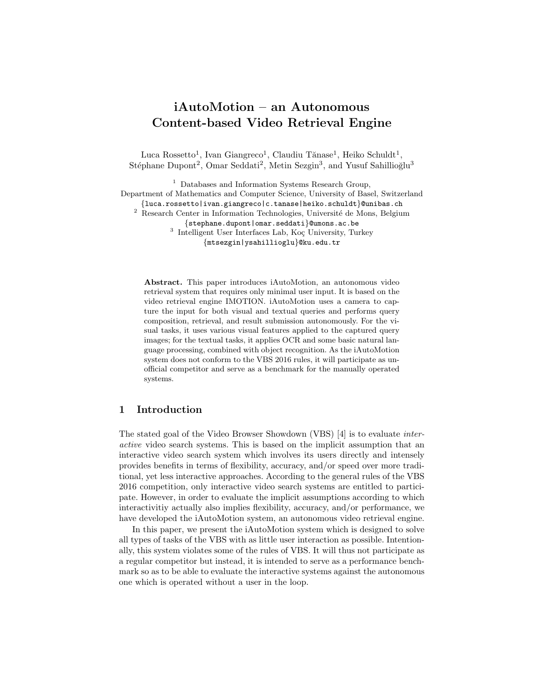# iAutoMotion – an Autonomous Content-based Video Retrieval Engine

Luca Rossetto<sup>1</sup>, Ivan Giangreco<sup>1</sup>, Claudiu Tănase<sup>1</sup>, Heiko Schuldt<sup>1</sup>, Stéphane Dupont<sup>2</sup>, Omar Seddati<sup>2</sup>, Metin Sezgin<sup>3</sup>, and Yusuf Sahillioğlu<sup>3</sup>

<sup>1</sup> Databases and Information Systems Research Group, Department of Mathematics and Computer Science, University of Basel, Switzerland {luca.rossetto|ivan.giangreco|c.tanase|heiko.schuldt}@unibas.ch <sup>2</sup> Research Center in Information Technologies, Université de Mons, Belgium {stephane.dupont|omar.seddati}@umons.ac.be <sup>3</sup> Intelligent User Interfaces Lab, Koç University, Turkey {mtsezgin|ysahillioglu}@ku.edu.tr

Abstract. This paper introduces iAutoMotion, an autonomous video retrieval system that requires only minimal user input. It is based on the video retrieval engine IMOTION. iAutoMotion uses a camera to capture the input for both visual and textual queries and performs query composition, retrieval, and result submission autonomously. For the visual tasks, it uses various visual features applied to the captured query images; for the textual tasks, it applies OCR and some basic natural language processing, combined with object recognition. As the iAutoMotion system does not conform to the VBS 2016 rules, it will participate as unofficial competitor and serve as a benchmark for the manually operated systems.

### 1 Introduction

The stated goal of the Video Browser Showdown (VBS) [4] is to evaluate interactive video search systems. This is based on the implicit assumption that an interactive video search system which involves its users directly and intensely provides benefits in terms of flexibility, accuracy, and/or speed over more traditional, yet less interactive approaches. According to the general rules of the VBS 2016 competition, only interactive video search systems are entitled to participate. However, in order to evaluate the implicit assumptions according to which interactivitiy actually also implies flexibility, accuracy, and/or performance, we have developed the iAutoMotion system, an autonomous video retrieval engine.

In this paper, we present the iAutoMotion system which is designed to solve all types of tasks of the VBS with as little user interaction as possible. Intentionally, this system violates some of the rules of VBS. It will thus not participate as a regular competitor but instead, it is intended to serve as a performance benchmark so as to be able to evaluate the interactive systems against the autonomous one which is operated without a user in the loop.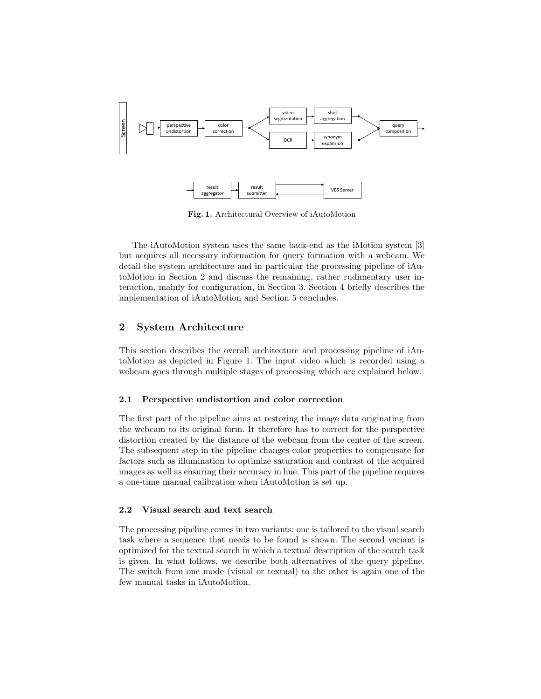

Fig. 1. Architectural Overview of iAutoMotion

The iAutoMotion system uses the same back-end as the iMotion system [3] but acquires all necessary information for query formation with a webcam. We detail the system architecture and in particular the processing pipeline of iAutoMotion in Section 2 and discuss the remaining, rather rudimentary user interaction, mainly for configuration, in Section 3. Section 4 briefly describes the implementation of iAutoMotion and Section 5 concludes.

# 2 System Architecture

This section describes the overall architecture and processing pipeline of iAutoMotion as depicted in Figure 1. The input video which is recorded using a webcam goes through multiple stages of processing which are explained below.

### 2.1 Perspective undistortion and color correction

The first part of the pipeline aims at restoring the image data originating from the webcam to its original form. It therefore has to correct for the perspective distortion created by the distance of the webcam from the center of the screen. The subsequent step in the pipeline changes color properties to compensate for factors such as illumination to optimize saturation and contrast of the acquired images as well as ensuring their accuracy in hue. This part of the pipeline requires a one-time manual calibration when iAutoMotion is set up.

### 2.2 Visual search and text search

The processing pipeline comes in two variants: one is tailored to the visual search task where a sequence that needs to be found is shown. The second variant is optimized for the textual search in which a textual description of the search task is given. In what follows, we describe both alternatives of the query pipeline. The switch from one mode (visual or textual) to the other is again one of the few manual tasks in iAutoMotion.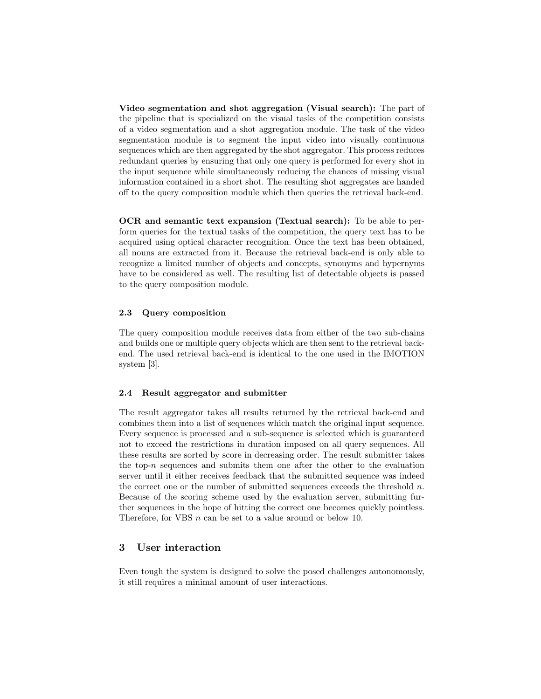Video segmentation and shot aggregation (Visual search): The part of the pipeline that is specialized on the visual tasks of the competition consists of a video segmentation and a shot aggregation module. The task of the video segmentation module is to segment the input video into visually continuous sequences which are then aggregated by the shot aggregator. This process reduces redundant queries by ensuring that only one query is performed for every shot in the input sequence while simultaneously reducing the chances of missing visual information contained in a short shot. The resulting shot aggregates are handed off to the query composition module which then queries the retrieval back-end.

OCR and semantic text expansion (Textual search): To be able to perform queries for the textual tasks of the competition, the query text has to be acquired using optical character recognition. Once the text has been obtained, all nouns are extracted from it. Because the retrieval back-end is only able to recognize a limited number of objects and concepts, synonyms and hypernyms have to be considered as well. The resulting list of detectable objects is passed to the query composition module.

### 2.3 Query composition

The query composition module receives data from either of the two sub-chains and builds one or multiple query objects which are then sent to the retrieval backend. The used retrieval back-end is identical to the one used in the IMOTION system [3].

### 2.4 Result aggregator and submitter

The result aggregator takes all results returned by the retrieval back-end and combines them into a list of sequences which match the original input sequence. Every sequence is processed and a sub-sequence is selected which is guaranteed not to exceed the restrictions in duration imposed on all query sequences. All these results are sorted by score in decreasing order. The result submitter takes the top-n sequences and submits them one after the other to the evaluation server until it either receives feedback that the submitted sequence was indeed the correct one or the number of submitted sequences exceeds the threshold  $n$ . Because of the scoring scheme used by the evaluation server, submitting further sequences in the hope of hitting the correct one becomes quickly pointless. Therefore, for VBS *n* can be set to a value around or below 10.

# 3 User interaction

Even tough the system is designed to solve the posed challenges autonomously, it still requires a minimal amount of user interactions.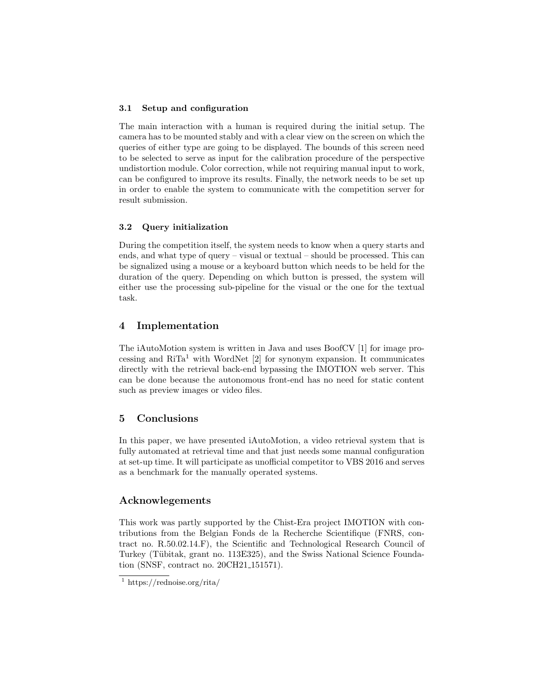### 3.1 Setup and configuration

The main interaction with a human is required during the initial setup. The camera has to be mounted stably and with a clear view on the screen on which the queries of either type are going to be displayed. The bounds of this screen need to be selected to serve as input for the calibration procedure of the perspective undistortion module. Color correction, while not requiring manual input to work, can be configured to improve its results. Finally, the network needs to be set up in order to enable the system to communicate with the competition server for result submission.

### 3.2 Query initialization

During the competition itself, the system needs to know when a query starts and ends, and what type of query – visual or textual – should be processed. This can be signalized using a mouse or a keyboard button which needs to be held for the duration of the query. Depending on which button is pressed, the system will either use the processing sub-pipeline for the visual or the one for the textual task.

# 4 Implementation

The iAutoMotion system is written in Java and uses BoofCV [1] for image processing and  $RiTa<sup>1</sup>$  with WordNet [2] for synonym expansion. It communicates directly with the retrieval back-end bypassing the IMOTION web server. This can be done because the autonomous front-end has no need for static content such as preview images or video files.

# 5 Conclusions

In this paper, we have presented iAutoMotion, a video retrieval system that is fully automated at retrieval time and that just needs some manual configuration at set-up time. It will participate as unofficial competitor to VBS 2016 and serves as a benchmark for the manually operated systems.

# Acknowlegements

This work was partly supported by the Chist-Era project IMOTION with contributions from the Belgian Fonds de la Recherche Scientifique (FNRS, contract no. R.50.02.14.F), the Scientific and Technological Research Council of Turkey (Tübitak, grant no. 113E325), and the Swiss National Science Foundation (SNSF, contract no. 20CH21 151571).

<sup>1</sup> https://rednoise.org/rita/